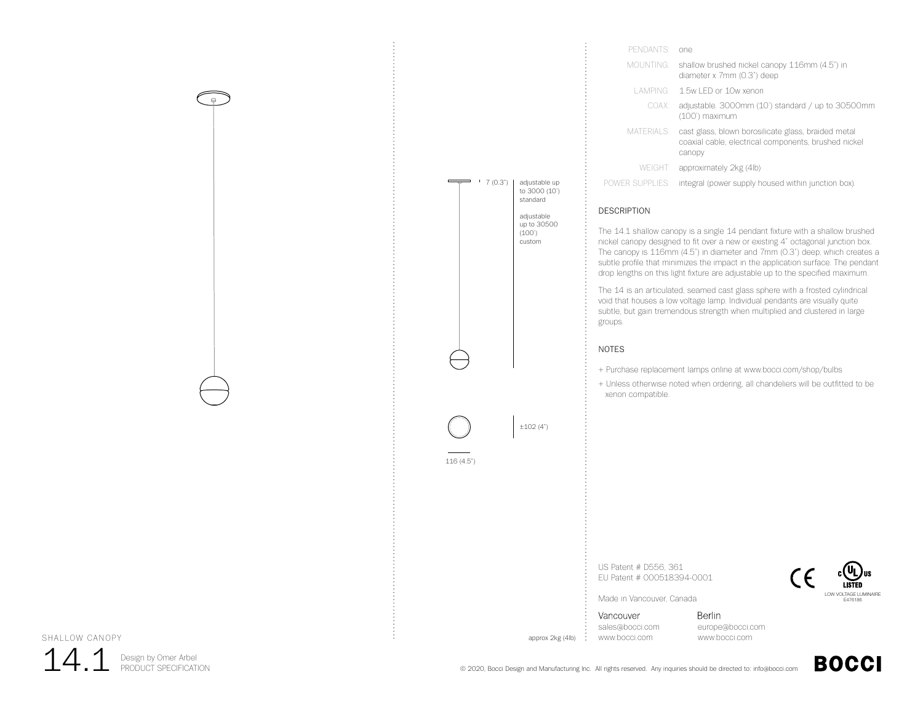



| PENDANTS <sup>.</sup> | one.                                                                                                                  |
|-----------------------|-----------------------------------------------------------------------------------------------------------------------|
| MOUNTING:             | shallow brushed nickel canopy 116mm (4.5") in<br>diameter x 7mm (0.3") deep                                           |
|                       | LAMPING: 1.5w LED or 10w xenon                                                                                        |
| COAX:                 | adjustable. 3000mm (10') standard / up to 30500mm<br>(100') maximum                                                   |
| MATERIALS:            | cast glass, blown borosilicate glass, braided metal<br>coaxial cable, electrical components, brushed nickel<br>canopy |
|                       | WEIGHT: approximately 2kg (4lb)                                                                                       |
| POWER SUPPLIES:       | integral (power supply housed within junction box).                                                                   |
|                       |                                                                                                                       |

## DESCRIPTION

The 14.1 shallow canopy is a single 14 pendant fixture with a shallow brushed nickel canopy designed to fit over a new or existing 4" octagonal junction box. The canopy is 116mm (4.5") in diameter and 7mm (0.3") deep, which creates a subtle profile that minimizes the impact in the application surface. The pendant drop lengths on this light fixture are adjustable up to the specified maximum.

The 14 is an articulated, seamed cast glass sphere with a frosted cylindrical void that houses a low voltage lamp. Individual pendants are visually quite subtle, but gain tremendous strength when multiplied and clustered in large groups.

## NOTES

+ Purchase replacement lamps online at www.bocci.com/shop/bulbs

+ Unless otherwise noted when ordering, all chandeliers will be outfitted to be xenon compatible.

US Patent # D556, 361 EU Patent # 000518394-0001



**BOCCI** 

Made in Vancouver, Canada

Vancouver sales@bocci.com www.bocci.com

approx 2kg (4lb)

Berlin europe@bocci.com www.bocci.com



Design by Omer Arbel 14.1 Design by Omer Arbel